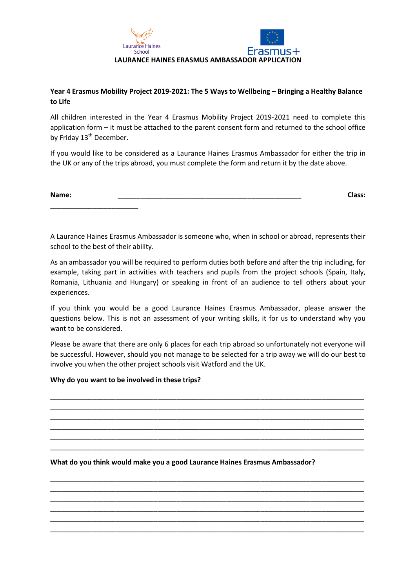

## **Year 4 Erasmus Mobility Project 2019-2021: The 5 Ways to Wellbeing – Bringing a Healthy Balance to Life**

All children interested in the Year 4 Erasmus Mobility Project 2019-2021 need to complete this application form – it must be attached to the parent consent form and returned to the school office by Friday 13<sup>th</sup> December.

If you would like to be considered as a Laurance Haines Erasmus Ambassador for either the trip in the UK or any of the trips abroad, you must complete the form and return it by the date above.

| Name: | $\cdots$<br><b>LACE</b> |
|-------|-------------------------|
|       |                         |
|       |                         |

A Laurance Haines Erasmus Ambassador is someone who, when in school or abroad, represents their school to the best of their ability.

As an ambassador you will be required to perform duties both before and after the trip including, for example, taking part in activities with teachers and pupils from the project schools (Spain, Italy, Romania, Lithuania and Hungary) or speaking in front of an audience to tell others about your experiences.

If you think you would be a good Laurance Haines Erasmus Ambassador, please answer the questions below. This is not an assessment of your writing skills, it for us to understand why you want to be considered.

Please be aware that there are only 6 places for each trip abroad so unfortunately not everyone will be successful. However, should you not manage to be selected for a trip away we will do our best to involve you when the other project schools visit Watford and the UK.

\_\_\_\_\_\_\_\_\_\_\_\_\_\_\_\_\_\_\_\_\_\_\_\_\_\_\_\_\_\_\_\_\_\_\_\_\_\_\_\_\_\_\_\_\_\_\_\_\_\_\_\_\_\_\_\_\_\_\_\_\_\_\_\_\_\_\_\_\_\_\_\_\_\_\_\_\_\_\_\_\_\_ \_\_\_\_\_\_\_\_\_\_\_\_\_\_\_\_\_\_\_\_\_\_\_\_\_\_\_\_\_\_\_\_\_\_\_\_\_\_\_\_\_\_\_\_\_\_\_\_\_\_\_\_\_\_\_\_\_\_\_\_\_\_\_\_\_\_\_\_\_\_\_\_\_\_\_\_\_\_\_\_\_\_ \_\_\_\_\_\_\_\_\_\_\_\_\_\_\_\_\_\_\_\_\_\_\_\_\_\_\_\_\_\_\_\_\_\_\_\_\_\_\_\_\_\_\_\_\_\_\_\_\_\_\_\_\_\_\_\_\_\_\_\_\_\_\_\_\_\_\_\_\_\_\_\_\_\_\_\_\_\_\_\_\_\_ \_\_\_\_\_\_\_\_\_\_\_\_\_\_\_\_\_\_\_\_\_\_\_\_\_\_\_\_\_\_\_\_\_\_\_\_\_\_\_\_\_\_\_\_\_\_\_\_\_\_\_\_\_\_\_\_\_\_\_\_\_\_\_\_\_\_\_\_\_\_\_\_\_\_\_\_\_\_\_\_\_\_ \_\_\_\_\_\_\_\_\_\_\_\_\_\_\_\_\_\_\_\_\_\_\_\_\_\_\_\_\_\_\_\_\_\_\_\_\_\_\_\_\_\_\_\_\_\_\_\_\_\_\_\_\_\_\_\_\_\_\_\_\_\_\_\_\_\_\_\_\_\_\_\_\_\_\_\_\_\_\_\_\_\_ \_\_\_\_\_\_\_\_\_\_\_\_\_\_\_\_\_\_\_\_\_\_\_\_\_\_\_\_\_\_\_\_\_\_\_\_\_\_\_\_\_\_\_\_\_\_\_\_\_\_\_\_\_\_\_\_\_\_\_\_\_\_\_\_\_\_\_\_\_\_\_\_\_\_\_\_\_\_\_\_\_\_

\_\_\_\_\_\_\_\_\_\_\_\_\_\_\_\_\_\_\_\_\_\_\_\_\_\_\_\_\_\_\_\_\_\_\_\_\_\_\_\_\_\_\_\_\_\_\_\_\_\_\_\_\_\_\_\_\_\_\_\_\_\_\_\_\_\_\_\_\_\_\_\_\_\_\_\_\_\_\_\_\_\_ \_\_\_\_\_\_\_\_\_\_\_\_\_\_\_\_\_\_\_\_\_\_\_\_\_\_\_\_\_\_\_\_\_\_\_\_\_\_\_\_\_\_\_\_\_\_\_\_\_\_\_\_\_\_\_\_\_\_\_\_\_\_\_\_\_\_\_\_\_\_\_\_\_\_\_\_\_\_\_\_\_\_ \_\_\_\_\_\_\_\_\_\_\_\_\_\_\_\_\_\_\_\_\_\_\_\_\_\_\_\_\_\_\_\_\_\_\_\_\_\_\_\_\_\_\_\_\_\_\_\_\_\_\_\_\_\_\_\_\_\_\_\_\_\_\_\_\_\_\_\_\_\_\_\_\_\_\_\_\_\_\_\_\_\_ \_\_\_\_\_\_\_\_\_\_\_\_\_\_\_\_\_\_\_\_\_\_\_\_\_\_\_\_\_\_\_\_\_\_\_\_\_\_\_\_\_\_\_\_\_\_\_\_\_\_\_\_\_\_\_\_\_\_\_\_\_\_\_\_\_\_\_\_\_\_\_\_\_\_\_\_\_\_\_\_\_\_ \_\_\_\_\_\_\_\_\_\_\_\_\_\_\_\_\_\_\_\_\_\_\_\_\_\_\_\_\_\_\_\_\_\_\_\_\_\_\_\_\_\_\_\_\_\_\_\_\_\_\_\_\_\_\_\_\_\_\_\_\_\_\_\_\_\_\_\_\_\_\_\_\_\_\_\_\_\_\_\_\_\_ \_\_\_\_\_\_\_\_\_\_\_\_\_\_\_\_\_\_\_\_\_\_\_\_\_\_\_\_\_\_\_\_\_\_\_\_\_\_\_\_\_\_\_\_\_\_\_\_\_\_\_\_\_\_\_\_\_\_\_\_\_\_\_\_\_\_\_\_\_\_\_\_\_\_\_\_\_\_\_\_\_\_

## **Why do you want to be involved in these trips?**

**What do you think would make you a good Laurance Haines Erasmus Ambassador?**